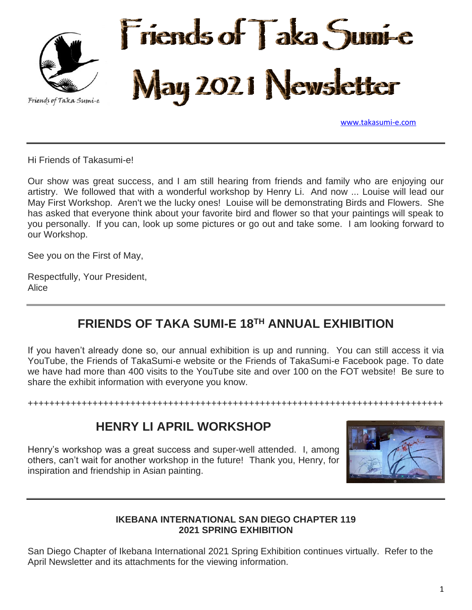

[www.takasumi-e.com](http://www.takasumi-e.com/)

Hi Friends of Takasumi-e!

Our show was great success, and I am still hearing from friends and family who are enjoying our artistry. We followed that with a wonderful workshop by Henry Li. And now ... Louise will lead our May First Workshop. Aren't we the lucky ones! Louise will be demonstrating Birds and Flowers. She has asked that everyone think about your favorite bird and flower so that your paintings will speak to you personally. If you can, look up some pictures or go out and take some. I am looking forward to our Workshop.

See you on the First of May,

Respectfully, Your President, Alice

## **FRIENDS OF TAKA SUMI-E 18TH ANNUAL EXHIBITION**

If you haven't already done so, our annual exhibition is up and running. You can still access it via YouTube, the Friends of TakaSumi-e website or the Friends of TakaSumi-e Facebook page. To date we have had more than 400 visits to the YouTube site and over 100 on the FOT website! Be sure to share the exhibit information with everyone you know.

+++++++++++++++++++++++++++++++++++++++++++++++++++++++++++++++++++++++++++++

### **HENRY LI APRIL WORKSHOP**

Henry's workshop was a great success and super-well attended. I, among others, can't wait for another workshop in the future! Thank you, Henry, for inspiration and friendship in Asian painting.



#### **IKEBANA INTERNATIONAL SAN DIEGO CHAPTER 119 2021 SPRING EXHIBITION**

San Diego Chapter of Ikebana International 2021 Spring Exhibition continues virtually. Refer to the April Newsletter and its attachments for the viewing information.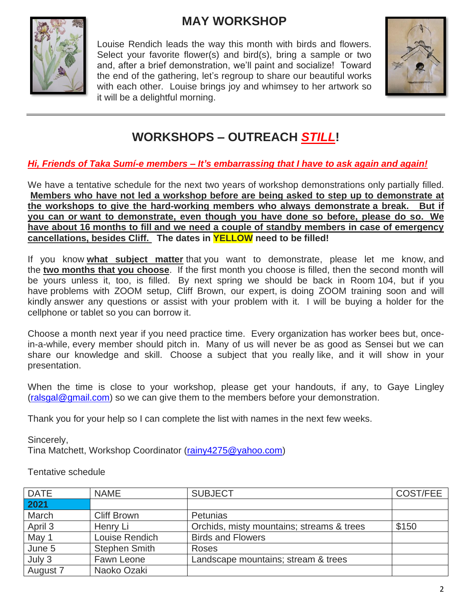# **MAY WORKSHOP**



Louise Rendich leads the way this month with birds and flowers. Select your favorite flower(s) and bird(s), bring a sample or two and, after a brief demonstration, we'll paint and socialize! Toward the end of the gathering, let's regroup to share our beautiful works with each other. Louise brings joy and whimsey to her artwork so it will be a delightful morning.



# **WORKSHOPS – OUTREACH** *STILL***!**

### *Hi, Friends of Taka Sumí-e members – It's embarrassing that I have to ask again and again!*

We have a tentative schedule for the next two years of workshop demonstrations only partially filled. **Members who have not led a workshop before are being asked to step up to demonstrate at the workshops to give the hard-working members who always demonstrate a break. But if you can or want to demonstrate, even though you have done so before, please do so. We have about 16 months to fill and we need a couple of standby members in case of emergency cancellations, besides Cliff. The dates in YELLOW need to be filled!**

If you know **what subject matter** that you want to demonstrate, please let me know, and the **two months that you choose**. If the first month you choose is filled, then the second month will be yours unless it, too, is filled. By next spring we should be back in Room 104, but if you have problems with ZOOM setup, Cliff Brown, our expert, is doing ZOOM training soon and will kindly answer any questions or assist with your problem with it. I will be buying a holder for the cellphone or tablet so you can borrow it.

Choose a month next year if you need practice time. Every organization has worker bees but, oncein-a-while, every member should pitch in. Many of us will never be as good as Sensei but we can share our knowledge and skill. Choose a subject that you really like, and it will show in your presentation.

When the time is close to your workshop, please get your handouts, if any, to Gaye Lingley [\(ralsgal@gmail.com\)](mailto:ralsgal@gmail.com) so we can give them to the members before your demonstration.

Thank you for your help so I can complete the list with names in the next few weeks.

Sincerely,

Tina Matchett, Workshop Coordinator [\(rainy4275@yahoo.com\)](mailto:rainy4275@yahoo.com)

Tentative schedule

| <b>DATE</b> | <b>NAME</b>          | <b>SUBJECT</b>                            | COST/FEE |
|-------------|----------------------|-------------------------------------------|----------|
| 2021        |                      |                                           |          |
| March       | <b>Cliff Brown</b>   | Petunias                                  |          |
| April 3     | Henry Li             | Orchids, misty mountains; streams & trees | \$150    |
| May 1       | Louise Rendich       | <b>Birds and Flowers</b>                  |          |
| June 5      | <b>Stephen Smith</b> | <b>Roses</b>                              |          |
| July 3      | Fawn Leone           | Landscape mountains; stream & trees       |          |
| August 7    | Naoko Ozaki          |                                           |          |